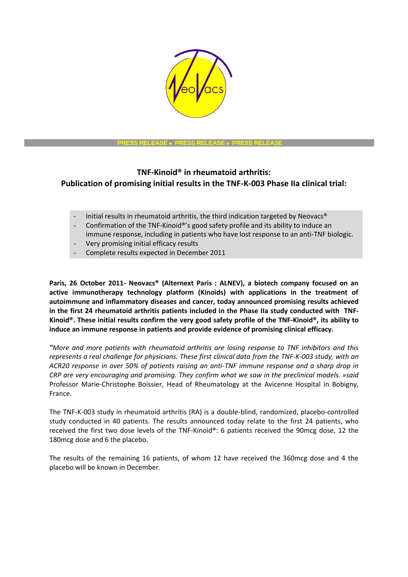

#### **PRESS RELEASE PRESS RELEASE PRESS RELEASE**

# **TNF-Kinoid® in rheumatoid arthritis: Publication of promising initial results in the TNF-K-003 Phase IIa clinical trial:**

- Initial results in rheumatoid arthritis, the third indication targeted by Neovacs®
- Confirmation of the TNF-Kinoid®'s good safety profile and its ability to induce an immune response, including in patients who have lost response to an anti-TNF biologic.
- Very promising initial efficacy results
- Complete results expected in December 2011

**Paris, 26 October 2011- Neovacs® (Alternext Paris : ALNEV), a biotech company focused on an active immunotherapy technology platform (Kinoids) with applications in the treatment of autoimmune and inflammatory diseases and cancer, today announced promising results achieved in the first 24 rheumatoid arthritis patients included in the Phase IIa study conducted with TNF-Kinoid®. These initial results confirm the very good safety profile of the TNF-Kinoid®, its ability to induce an immune response in patients and provide evidence of promising clinical efficacy.**

*"More and more patients with rheumatoid arthritis are losing response to TNF inhibitors and this represents a real challenge for physicians. These first clinical data from the TNF-K-003 study, with an ACR20 response in over 50% of patients raising an anti-TNF immune response and a sharp drop in CRP are very encouraging and promising. They confirm what we saw in the preclinical models. »said* Professor Marie-Christophe Boissier, Head of Rheumatology at the Avicenne Hospital in Bobigny, France.

The TNF-K-003 study in rheumatoid arthritis (RA) is a double-blind, randomized, placebo-controlled study conducted in 40 patients. The results announced today relate to the first 24 patients, who received the first two dose levels of the TNF-Kinoid®: 6 patients received the 90mcg dose, 12 the 180mcg dose and 6 the placebo.

The results of the remaining 16 patients, of whom 12 have received the 360mcg dose and 4 the placebo will be known in December.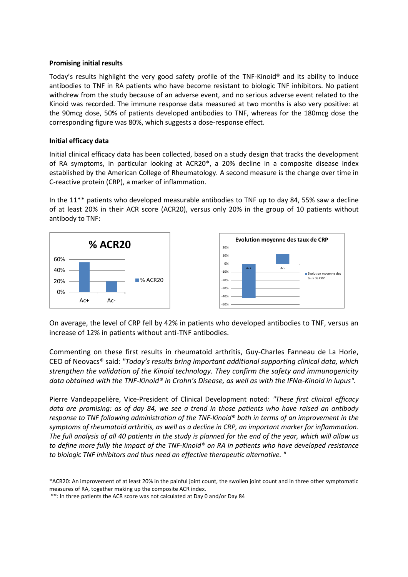## **Promising initial results**

Today's results highlight the very good safety profile of the TNF-Kinoid® and its ability to induce antibodies to TNF in RA patients who have become resistant to biologic TNF inhibitors. No patient withdrew from the study because of an adverse event, and no serious adverse event related to the Kinoid was recorded. The immune response data measured at two months is also very positive: at the 90mcg dose, 50% of patients developed antibodies to TNF, whereas for the 180mcg dose the corresponding figure was 80%, which suggests a dose-response effect.

### **Initial efficacy data**

Initial clinical efficacy data has been collected, based on a study design that tracks the development of RA symptoms, in particular looking at ACR20\*, a 20% decline in a composite disease index established by the American College of Rheumatology. A second measure is the change over time in C-reactive protein (CRP), a marker of inflammation.

In the 11\*\* patients who developed measurable antibodies to TNF up to day 84, 55% saw a decline of at least 20% in their ACR score (ACR20), versus only 20% in the group of 10 patients without antibody to TNF:





On average, the level of CRP fell by 42% in patients who developed antibodies to TNF, versus an increase of 12% in patients without anti-TNF antibodies.

Commenting on these first results in rheumatoid arthritis, Guy-Charles Fanneau de La Horie, CEO of Neovacs® said: *"Today's results bring important additional supporting clinical data, which strengthen the validation of the Kinoid technology. They confirm the safety and immunogenicity data obtained with the TNF-Kinoid® in Crohn's Disease, as well as with the IFNα-Kinoid in lupus".*

Pierre Vandepapelière, Vice-President of Clinical Development noted: *"These first clinical efficacy data are promising: as of day 84, we see a trend in those patients who have raised an antibody response to TNF following administration of the TNF-Kinoid® both in terms of an improvement in the symptoms of rheumatoid arthritis, as well as a decline in CRP, an important marker for inflammation. The full analysis of all 40 patients in the study is planned for the end of the year, which will allow us to define more fully the impact of the TNF-Kinoid® on RA in patients who have developed resistance to biologic TNF inhibitors and thus need an effective therapeutic alternative. "*

<sup>\*</sup>ACR20: An improvement of at least 20% in the painful joint count, the swollen joint count and in three other symptomatic measures of RA, together making up the composite ACR index.

<sup>\*\*:</sup> In three patients the ACR score was not calculated at Day 0 and/or Day 84